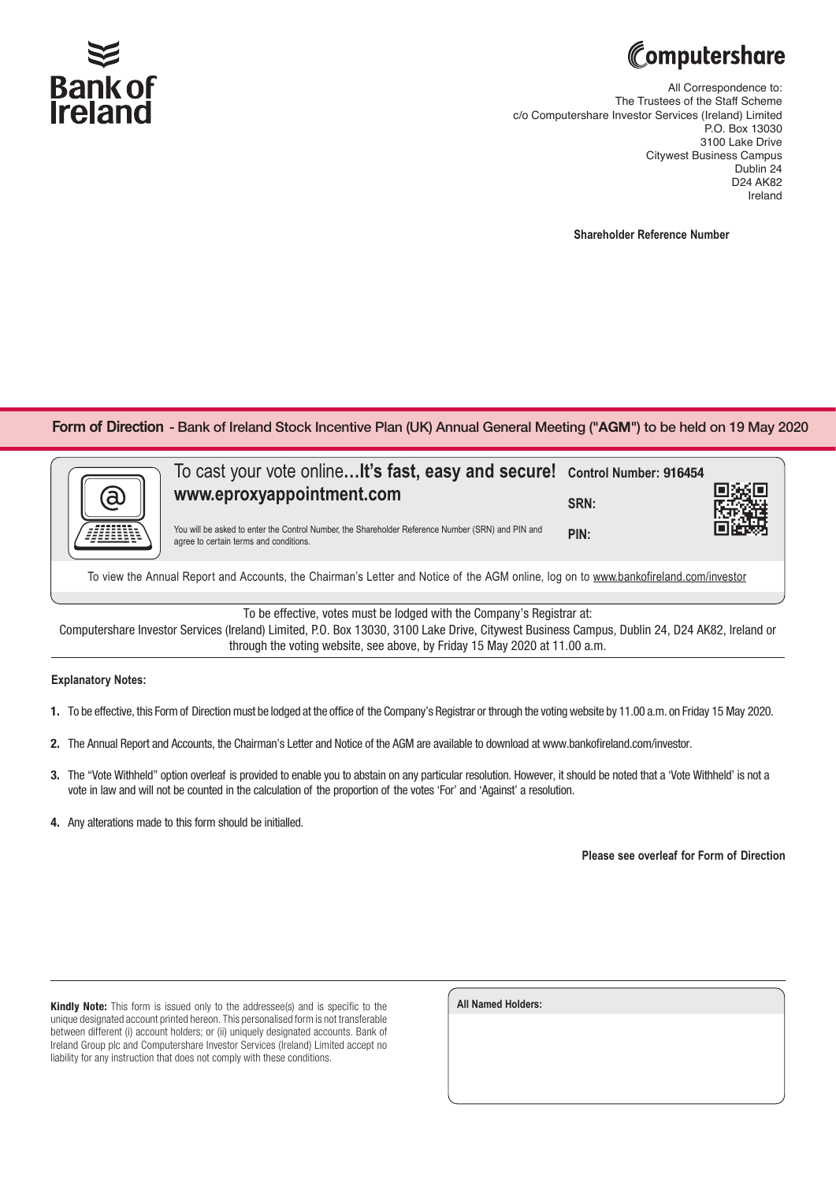

## Computershare

All Correspondence to: The Trustees of the Staff Scheme c/o Computershare Investor Services (Ireland) Limited P.O. Box 13030 3100 Lake Drive Citywest Business Campus Dublin 24 D24 AK82 Ireland

**Shareholder Reference Number**

**Form of Direction - Bank of Ireland Stock Incentive Plan (UK) Annual General Meeting ("<b>AGM**") to be held on 19 May 2020



To view the Annual Report and Accounts, the Chairman's Letter and Notice of the AGM online, log on to www.bankofireland.com/investor

To be effective, votes must be lodged with the Company's Registrar at:

Computershare Investor Services (Ireland) Limited, P.O. Box 13030, 3100 Lake Drive, Citywest Business Campus, Dublin 24, D24 AK82, Ireland or through the voting website, see above, by Friday 15 May 2020 at 11.00 a.m.

## **Explanatory Notes:**

- 1. To be effective, this Form of Direction must be lodged at the office of the Company's Registrar or through the votingwebsite by 11.00 a.m. on Friday 15 May 2020.
- 2. The Annual Report and Accounts, the Chairman's Letter and Notice of the AGM are available to download at www.bankofireland.com/investor.
- 3. The "Vote Withheld" option overleaf is provided to enable you to abstain on any particular resolution. However, it should be noted that a 'Vote Withheld' is not a vote in law and will not be counted in the calculation of the proportion of the votes 'For' and 'Against' a resolution.
- 4. Any alterations made to this form should be initialled.

**Please see overleaf for Form of Direction**

Kindly Note: This form is issued only to the addressee(s) and is specific to the unique designated account printed hereon. This personalised form is not transferable between different (i) account holders; or (ii) uniquely designated accounts. Bank of Ireland Group plc and Computershare Investor Services (Ireland) Limited accept no liability for any instruction that does not comply with these conditions.

| <b>All Named Holders:</b> |  |  |
|---------------------------|--|--|
|                           |  |  |
|                           |  |  |
|                           |  |  |
|                           |  |  |
|                           |  |  |
|                           |  |  |